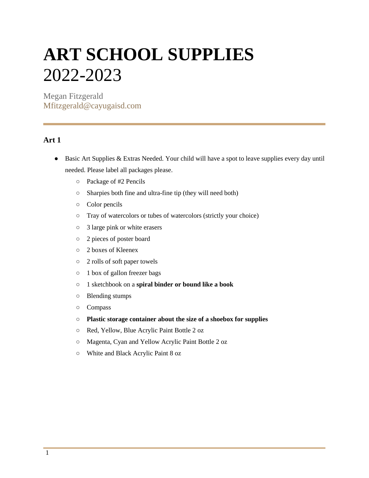## **ART SCHOOL SUPPLIES**  2022-2023

Megan Fitzgerald Mfitzgerald@cayugaisd.com

## **Art 1**

- Basic Art Supplies & Extras Needed. Your child will have a spot to leave supplies every day until needed. Please label all packages please.
	- Package of #2 Pencils
	- Sharpies both fine and ultra-fine tip (they will need both)
	- Color pencils
	- Tray of watercolors or tubes of watercolors (strictly your choice)
	- 3 large pink or white erasers
	- 2 pieces of poster board
	- 2 boxes of Kleenex
	- 2 rolls of soft paper towels
	- 1 box of gallon freezer bags
	- 1 sketchbook on a **spiral binder or bound like a book**
	- Blending stumps
	- Compass
	- **Plastic storage container about the size of a shoebox for supplies**
	- Red, Yellow, Blue Acrylic Paint Bottle 2 oz
	- Magenta, Cyan and Yellow Acrylic Paint Bottle 2 oz
	- White and Black Acrylic Paint 8 oz